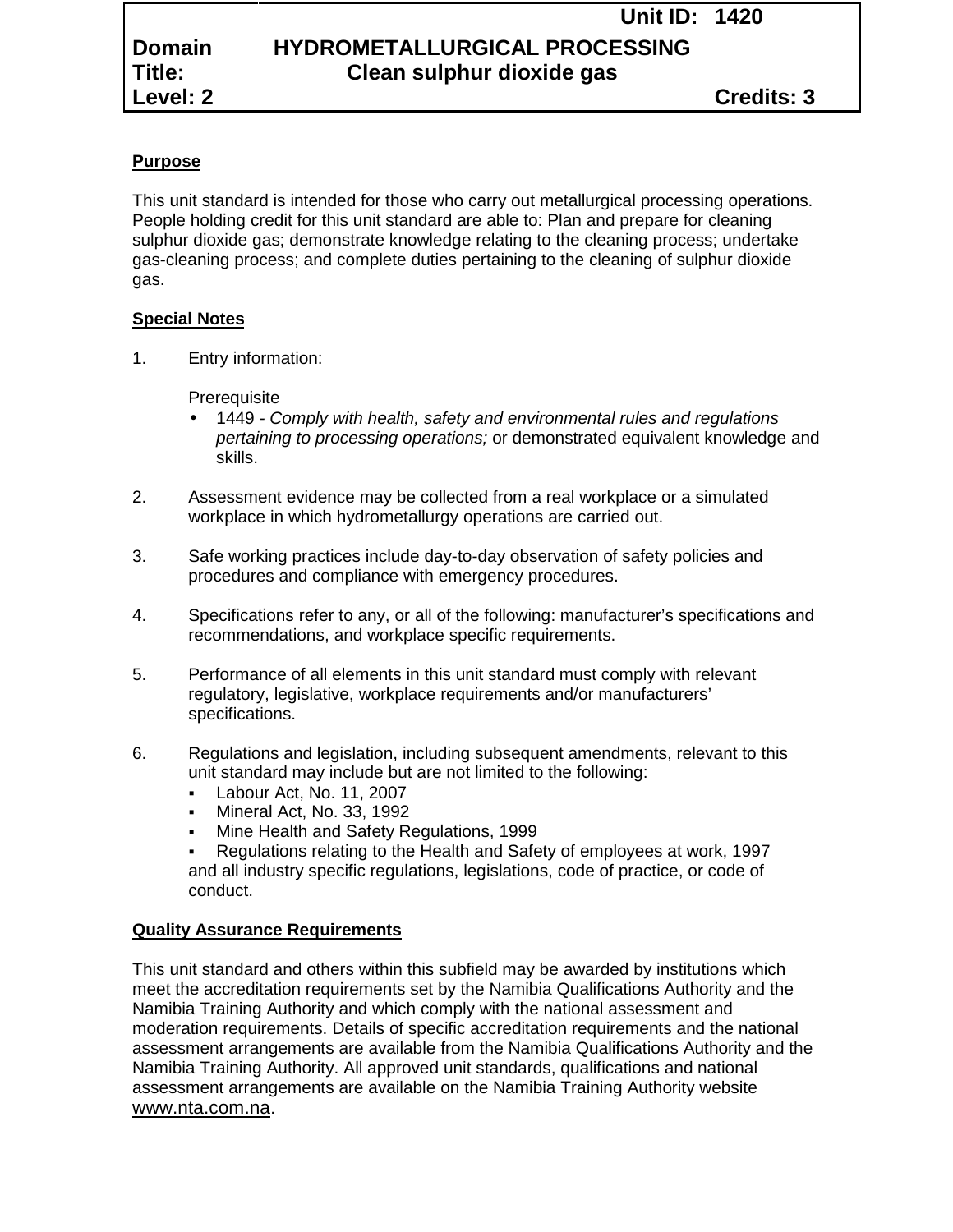# **Purpose**

This unit standard is intended for those who carry out metallurgical processing operations. People holding credit for this unit standard are able to: Plan and prepare for cleaning sulphur dioxide gas; demonstrate knowledge relating to the cleaning process; undertake gas-cleaning process; and complete duties pertaining to the cleaning of sulphur dioxide gas.

### **Special Notes**

1. Entry information:

**Prerequisite** 

- 1449 *- Comply with health, safety and environmental rules and regulations pertaining to processing operations;* or demonstrated equivalent knowledge and skills.
- 2. Assessment evidence may be collected from a real workplace or a simulated workplace in which hydrometallurgy operations are carried out.
- 3. Safe working practices include day-to-day observation of safety policies and procedures and compliance with emergency procedures.
- 4. Specifications refer to any, or all of the following: manufacturer's specifications and recommendations, and workplace specific requirements.
- 5. Performance of all elements in this unit standard must comply with relevant regulatory, legislative, workplace requirements and/or manufacturers' specifications.
- 6. Regulations and legislation, including subsequent amendments, relevant to this unit standard may include but are not limited to the following:
	- Labour Act, No. 11, 2007
	- Mineral Act, No. 33, 1992
	- Mine Health and Safety Regulations, 1999
	- Regulations relating to the Health and Safety of employees at work, 1997 and all industry specific regulations, legislations, code of practice, or code of conduct.

# **Quality Assurance Requirements**

This unit standard and others within this subfield may be awarded by institutions which meet the accreditation requirements set by the Namibia Qualifications Authority and the Namibia Training Authority and which comply with the national assessment and moderation requirements. Details of specific accreditation requirements and the national assessment arrangements are available from the Namibia Qualifications Authority and the Namibia Training Authority. All approved unit standards, qualifications and national assessment arrangements are available on the Namibia Training Authority website www.nta.com.na.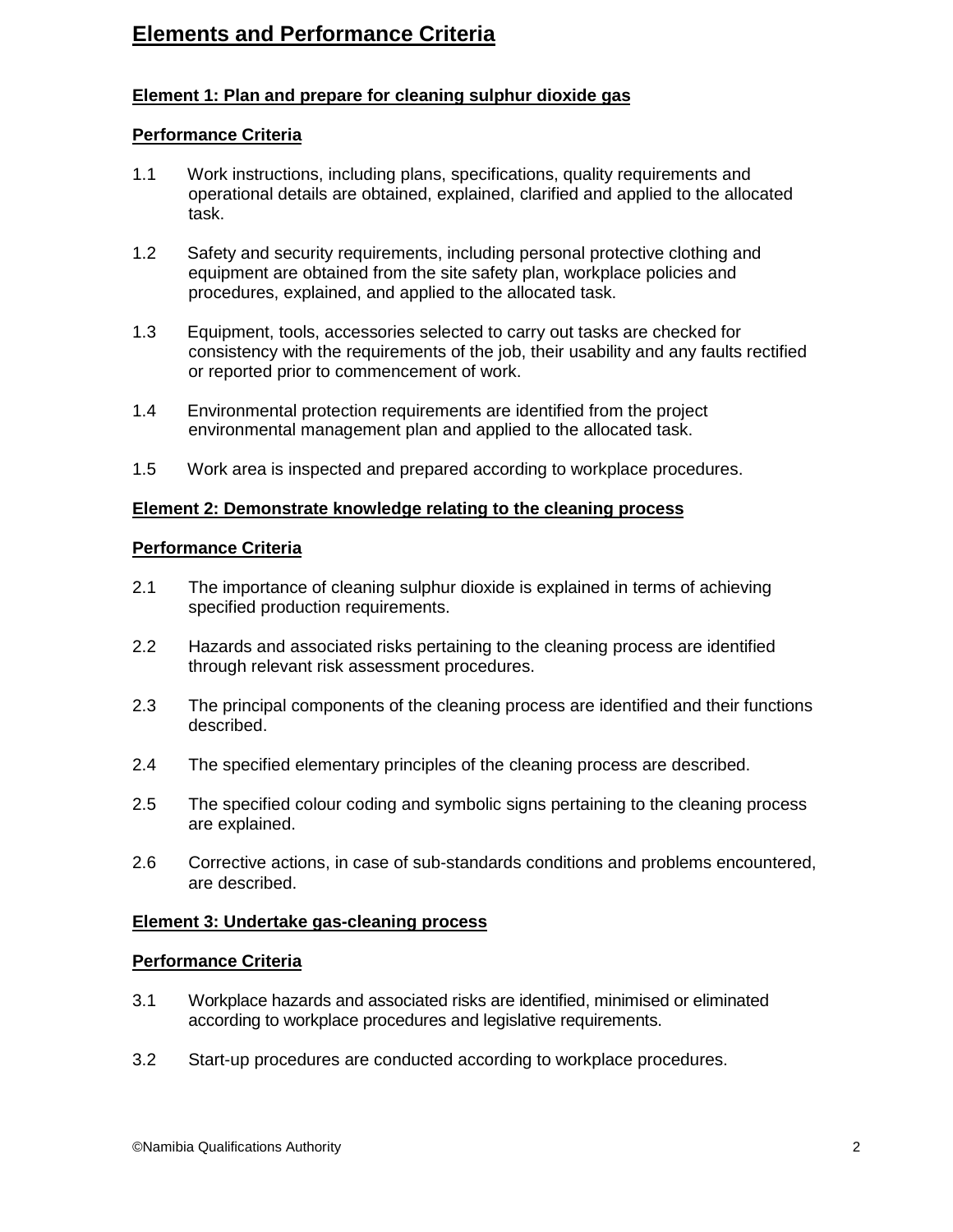# **Elements and Performance Criteria**

# **Element 1: Plan and prepare for cleaning sulphur dioxide gas**

### **Performance Criteria**

- 1.1 Work instructions, including plans, specifications, quality requirements and operational details are obtained, explained, clarified and applied to the allocated task.
- 1.2 Safety and security requirements, including personal protective clothing and equipment are obtained from the site safety plan, workplace policies and procedures, explained, and applied to the allocated task.
- 1.3 Equipment, tools, accessories selected to carry out tasks are checked for consistency with the requirements of the job, their usability and any faults rectified or reported prior to commencement of work.
- 1.4 Environmental protection requirements are identified from the project environmental management plan and applied to the allocated task.
- 1.5 Work area is inspected and prepared according to workplace procedures.

#### **Element 2: Demonstrate knowledge relating to the cleaning process**

#### **Performance Criteria**

- 2.1 The importance of cleaning sulphur dioxide is explained in terms of achieving specified production requirements.
- 2.2 Hazards and associated risks pertaining to the cleaning process are identified through relevant risk assessment procedures.
- 2.3 The principal components of the cleaning process are identified and their functions described.
- 2.4 The specified elementary principles of the cleaning process are described.
- 2.5 The specified colour coding and symbolic signs pertaining to the cleaning process are explained.
- 2.6 Corrective actions, in case of sub-standards conditions and problems encountered, are described.

#### **Element 3: Undertake gas-cleaning process**

#### **Performance Criteria**

- 3.1 Workplace hazards and associated risks are identified, minimised or eliminated according to workplace procedures and legislative requirements.
- 3.2 Start-up procedures are conducted according to workplace procedures.